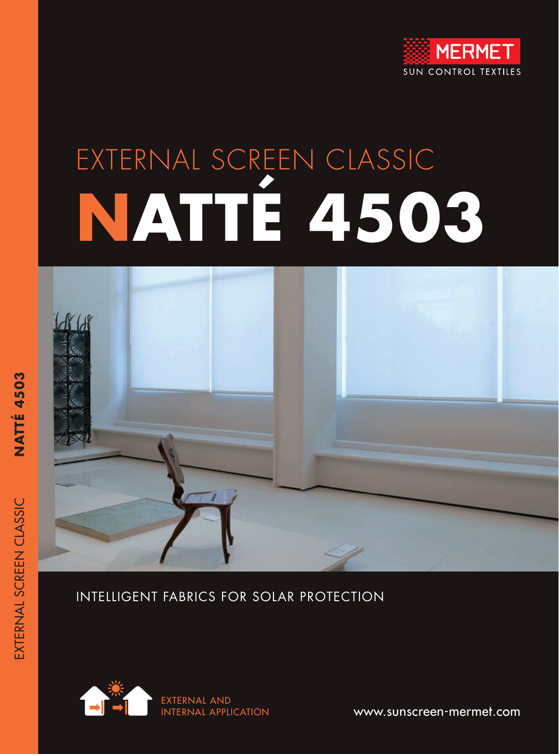

# EXTERNAL SCREEN CLASSIC **NATTÉ 4503**



#### INTELLIGENT FABRICS FOR SOLAR PROTECTION



EXTERNAL SCREEN CLASSIC **NATTÉ 4503**

EXTERNAL SCREEN CLASSIC

**NATTÉ 4503** 

www.sunscreen-mermet.com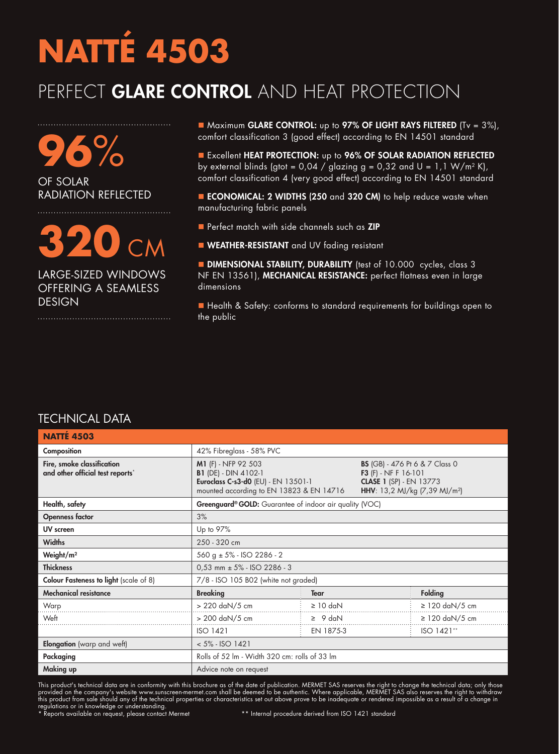#### PERFECT GLARE CONTROL AND HEAT PROTECTION

**96**% OF SOLAR RADIATION REFLECTED

## **320** CM

LARGE-SIZED WINDOWS OFFERING A SEAMLESS DESIGN

■ Maximum GLARE CONTROL: up to 97% OF LIGHT RAYS FILTERED (Tv = 3%), comfort classification 3 (good effect) according to EN 14501 standard

**Excellent HEAT PROTECTION:** up to 96% OF SOLAR RADIATION REFLECTED by external blinds (gtot =  $0.04 /$  glazing g =  $0.32$  and U =  $1.1$  W/m<sup>2</sup> K), comfort classification 4 (very good effect) according to EN 14501 standard

■ ECONOMICAL: 2 WIDTHS (250 and 320 CM) to help reduce waste when manufacturing fabric panels

- **n** Perfect match with side channels such as **ZIP**
- **NEATHER-RESISTANT** and UV fading resistant

**DIMENSIONAL STABILITY, DURABILITY** (test of 10.000 cycles, class 3 NF EN 13561), MECHANICAL RESISTANCE: perfect flatness even in large dimensions

■ Health & Safety: conforms to standard requirements for buildings open to the public

| <b>TECHNICAL DATA</b> |  |  |
|-----------------------|--|--|
|                       |  |  |

| <b>NATTE 4503</b>                                              |                                                                                                                                       |               |                                                                                                                                                       |                     |
|----------------------------------------------------------------|---------------------------------------------------------------------------------------------------------------------------------------|---------------|-------------------------------------------------------------------------------------------------------------------------------------------------------|---------------------|
| Composition                                                    | 42% Fibreglass - 58% PVC                                                                                                              |               |                                                                                                                                                       |                     |
| Fire, smoke classification<br>and other official test reports* | M1 (F) - NFP 92 503<br><b>B1</b> (DE) - DIN 4102-1<br>Euroclass C-s3-d0 (EU) - EN 13501-1<br>mounted according to EN 13823 & EN 14716 |               | <b>BS</b> (GB) - 476 Pt 6 & 7 Class 0<br><b>F3</b> $(F)$ - NF F 16-101<br><b>CLASE 1 (SP) - EN 13773</b><br>HHV: 13,2 MJ/kg (7,39 MJ/m <sup>2</sup> ) |                     |
| Health, safety                                                 | <b>Greenguard<sup>®</sup> GOLD:</b> Guarantee of indoor air quality (VOC)                                                             |               |                                                                                                                                                       |                     |
| <b>Openness factor</b>                                         | 3%                                                                                                                                    |               |                                                                                                                                                       |                     |
| UV screen                                                      | Up to 97%                                                                                                                             |               |                                                                                                                                                       |                     |
| <b>Widths</b>                                                  | 250 - 320 cm                                                                                                                          |               |                                                                                                                                                       |                     |
| Weight/ $m2$                                                   | 560 g $\pm$ 5% - ISO 2286 - 2                                                                                                         |               |                                                                                                                                                       |                     |
| <b>Thickness</b>                                               | $0.53$ mm $\pm$ 5% - ISO 2286 - 3                                                                                                     |               |                                                                                                                                                       |                     |
| <b>Colour Fasteness to light</b> (scale of 8)                  | 7/8 - ISO 105 B02 (white not graded)                                                                                                  |               |                                                                                                                                                       |                     |
| <b>Mechanical resistance</b>                                   | <b>Breaking</b>                                                                                                                       | <b>Tear</b>   |                                                                                                                                                       | <b>Folding</b>      |
| Warp                                                           | > 220 daN/5 cm                                                                                                                        | $\geq 10$ daN |                                                                                                                                                       | $\geq$ 120 daN/5 cm |
| Weft                                                           | > 200 daN/5 cm                                                                                                                        | $\geq 9$ daN  |                                                                                                                                                       | $\geq$ 120 daN/5 cm |
|                                                                | <b>ISO 1421</b>                                                                                                                       | EN 1875-3     |                                                                                                                                                       | ISO 1421**          |
| Elongation (warp and weft)                                     | $< 5\% - ISO 1421$                                                                                                                    |               |                                                                                                                                                       |                     |
| Packaging                                                      | Rolls of 52 lm - Width 320 cm: rolls of 33 lm                                                                                         |               |                                                                                                                                                       |                     |
| Making up                                                      | Advice note on request                                                                                                                |               |                                                                                                                                                       |                     |

This product's technical data are in conformity with this brochure as of the date of publication. MERMET SAS reserves the right to change the technical data; only those provided on the company's website www.sunscreen-mermet.com shall be deemed to be authentic. Where applicable, MERMET SAS also reserves the right to withdraw this product from sale should any of the technical properties or characteristics set out above prove to be inadequate or rendered impossible as a result of a change in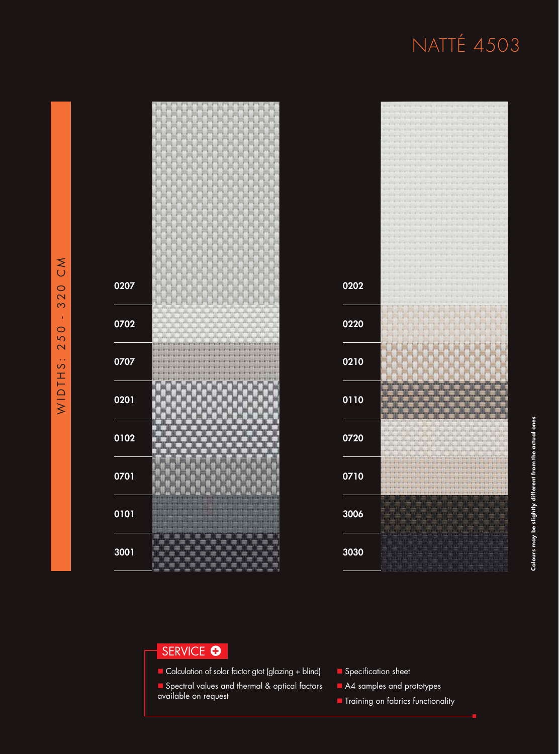

| 0202   |                |
|--------|----------------|
|        |                |
|        |                |
|        |                |
| 0220   |                |
|        |                |
|        |                |
|        |                |
| 0210   |                |
|        |                |
|        |                |
|        |                |
|        |                |
| 0110   |                |
|        |                |
|        |                |
|        |                |
| 0720   |                |
|        |                |
|        |                |
|        |                |
| 0710   |                |
|        |                |
|        |                |
|        |                |
| 3006   | <b>FALLING</b> |
|        |                |
|        |                |
|        |                |
|        |                |
| $3030$ |                |
|        |                |
|        |                |

#### SERVICE **O**

- Calculation of solar factor gtot (glazing + blind)
- **n** Spectral values and thermal & optical factors available on request
- **n** Specification sheet
- A4 samples and prototypes
- **n** Training on fabrics functionality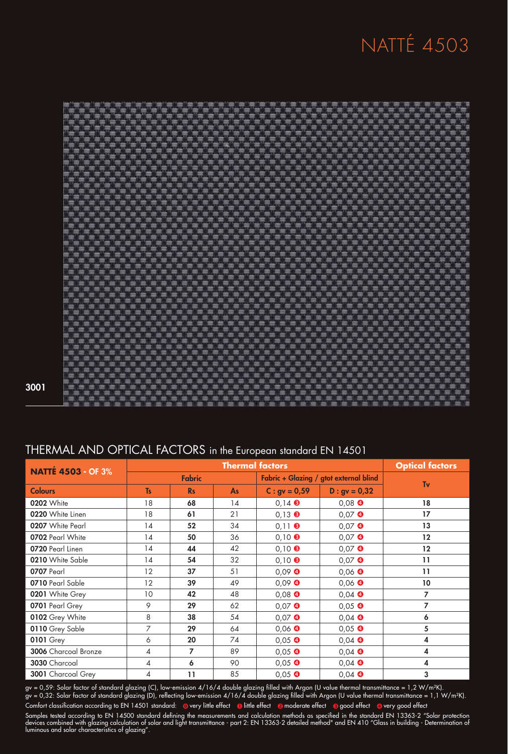

#### THERMAL AND OPTICAL FACTORS in the European standard EN 14501

| <b>NATTÉ 4503 - OF 3%</b> | <b>Thermal factors</b> |              |                                        | <b>Optical factors</b> |                  |                   |
|---------------------------|------------------------|--------------|----------------------------------------|------------------------|------------------|-------------------|
|                           | <b>Fabric</b>          |              | Fabric + Glazing / gtot external blind |                        | Tv               |                   |
| <b>Colours</b>            | <b>Ts</b>              | <b>Rs</b>    | As                                     | $C: gy = 0.59$         | $D : gv = 0,32$  |                   |
| 0202 White                | 18                     | 68           | 14                                     | $0.14$ $\odot$         | $0.08$ $\bullet$ | 18                |
| 0220 White Linen          | 18                     | 61           | 21                                     | $0,13$ $\bullet$       | $0.07$ $\bullet$ | 17                |
| 0207 White Pearl          | 14                     | 52           | 34                                     | $0,11$ $\odot$         | $0,07$ $\bullet$ | 13                |
| 0702 Pearl White          | 14                     | 50           | 36                                     | $0,10$ $\odot$         | $0,07$ $\bullet$ | $12 \overline{ }$ |
| 0720 Pearl Linen          | 14                     | 44           | 42                                     | $0,10$ $\odot$         | $0,07$ $\bullet$ | 12                |
| 0210 White Sable          | 14                     | 54           | 32                                     | $0,10$ $\odot$         | $0.07$ $\bullet$ | $\overline{11}$   |
| 0707 Pearl                | 12                     | 37           | 51                                     | $0.09$ $\bullet$       | $0.06$ $\bullet$ | $\overline{11}$   |
| 0710 Pearl Sable          | 12                     | 39           | 49                                     | $0.09$ $\bullet$       | $0,06$ $\bullet$ | 10 <sup>°</sup>   |
| 0201 White Grey           | 10                     | 42           | 48                                     | $0,08$ $\bullet$       | $0,04$ $\bullet$ | 7                 |
| 0701 Pearl Grey           | 9                      | 29           | 62                                     | $0,07$ $\bullet$       | $0,05$ $\bullet$ | 7                 |
| 0102 Grey White           | 8                      | 38           | 54                                     | $0,07$ $\bullet$       | $0,04$ $\bullet$ | 6                 |
| 0110 Grey Sable           | 7                      | 29           | 64                                     | $0,06$ $\bullet$       | $0,05$ $\bullet$ | 5                 |
| <b>0101 Grey</b>          | 6                      | 20           | 74                                     | $0,05$ $\bullet$       | $0,04$ $\bullet$ | 4                 |
| 3006 Charcoal Bronze      | 4                      | 7            | 89                                     | $0,05$ $\bullet$       | $0,04$ $\bullet$ | 4                 |
| 3030 Charcoal             | 4                      | 6            | 90                                     | $0,05$ $\bullet$       | $0,04$ $\bullet$ | 4                 |
| 3001 Charcoal Grey        | 4                      | $\mathbf{1}$ | 85                                     | $0,05$ $\bullet$       | $0.04$ $\bullet$ | 3                 |

gv = 0,59: Solar factor of standard glazing (C), low-emission 4/16/4 double glazing filled with Argon (U value thermal transmittance = 1,2 W/m²K). gv = 0,32: Solar factor of standard glazing (D), reflecting low-emission 4/16/4 double glazing filled with Argon (U value thermal transmittance = 1,1 W/m²K).

Samples tested according to EN 14500 standard defining the measurements and calculation methods as specified in the standard EN 13363-2 "Solar protection devices combined with glazing calculation of solar and light transmittance - part 2: EN 13363-2 detailed method" and EN 410 "Glass in building - Determination of luminous and solar characteristics of glazing". Comfort classification according to EN 14501 standard: @very little effect @little effect @moderate effect @good effect @very good effect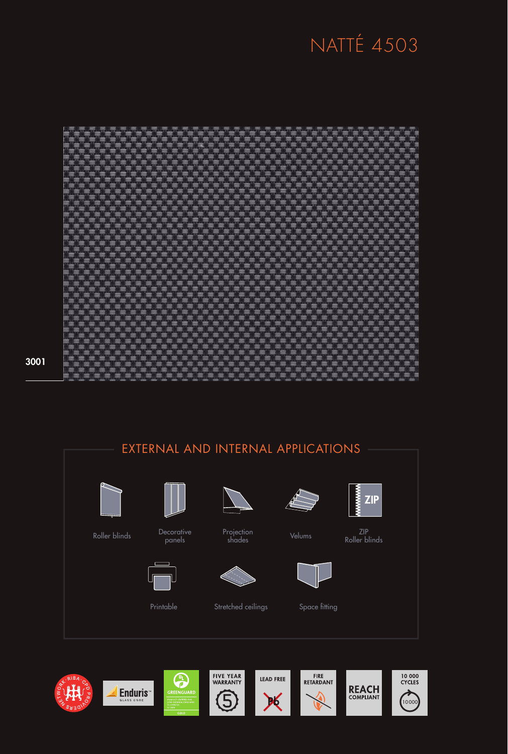